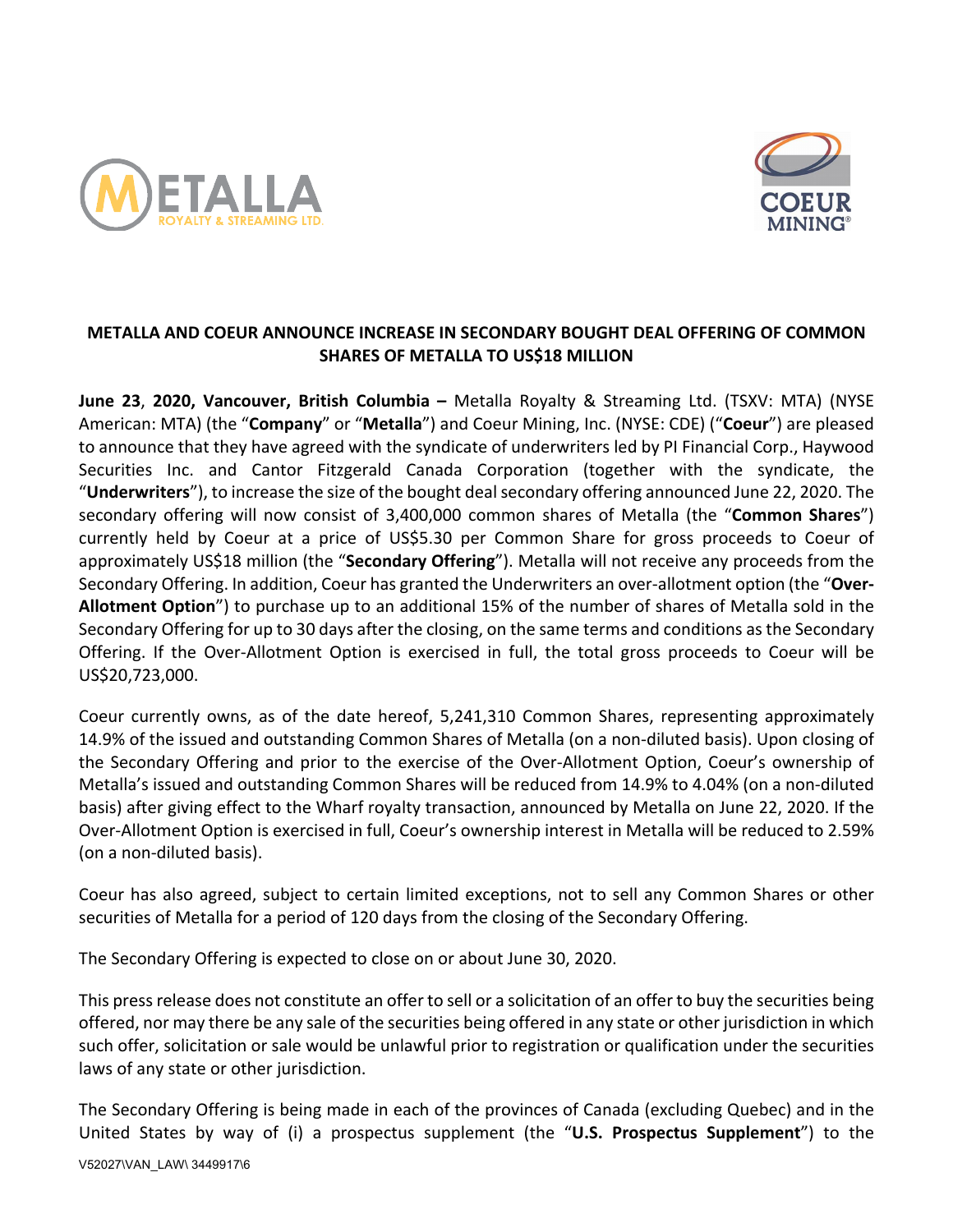



# **METALLA AND COEUR ANNOUNCE INCREASE IN SECONDARY BOUGHT DEAL OFFERING OF COMMON SHARES OF METALLA TO US\$18 MILLION**

**June 23**, **2020, Vancouver, British Columbia –** Metalla Royalty & Streaming Ltd. (TSXV: MTA) (NYSE American: MTA) (the "**Company**" or "**Metalla**") and Coeur Mining, Inc. (NYSE: CDE) ("**Coeur**") are pleased to announce that they have agreed with the syndicate of underwriters led by PI Financial Corp., Haywood Securities Inc. and Cantor Fitzgerald Canada Corporation (together with the syndicate, the "**Underwriters**"), to increase the size of the bought dealsecondary offering announced June 22, 2020. The secondary offering will now consist of 3,400,000 common shares of Metalla (the "**Common Shares**") currently held by Coeur at a price of US\$5.30 per Common Share for gross proceeds to Coeur of approximately US\$18 million (the "**Secondary Offering**"). Metalla will not receive any proceeds from the Secondary Offering. In addition, Coeur has granted the Underwriters an over-allotment option (the "**Over-Allotment Option**") to purchase up to an additional 15% of the number of shares of Metalla sold in the Secondary Offering for up to 30 days after the closing, on the same terms and conditions as the Secondary Offering. If the Over-Allotment Option is exercised in full, the total gross proceeds to Coeur will be US\$20,723,000.

Coeur currently owns, as of the date hereof, 5,241,310 Common Shares, representing approximately 14.9% of the issued and outstanding Common Shares of Metalla (on a non-diluted basis). Upon closing of the Secondary Offering and prior to the exercise of the Over-Allotment Option, Coeur's ownership of Metalla's issued and outstanding Common Shares will be reduced from 14.9% to 4.04% (on a non-diluted basis) after giving effect to the Wharf royalty transaction, announced by Metalla on June 22, 2020. If the Over-Allotment Option is exercised in full, Coeur's ownership interest in Metalla will be reduced to 2.59% (on a non-diluted basis).

Coeur has also agreed, subject to certain limited exceptions, not to sell any Common Shares or other securities of Metalla for a period of 120 days from the closing of the Secondary Offering.

The Secondary Offering is expected to close on or about June 30, 2020.

This press release does not constitute an offer to sell or a solicitation of an offer to buy the securities being offered, nor may there be any sale of the securities being offered in any state or other jurisdiction in which such offer, solicitation or sale would be unlawful prior to registration or qualification under the securities laws of any state or other jurisdiction.

The Secondary Offering is being made in each of the provinces of Canada (excluding Quebec) and in the United States by way of (i) a prospectus supplement (the "**U.S. Prospectus Supplement**") to the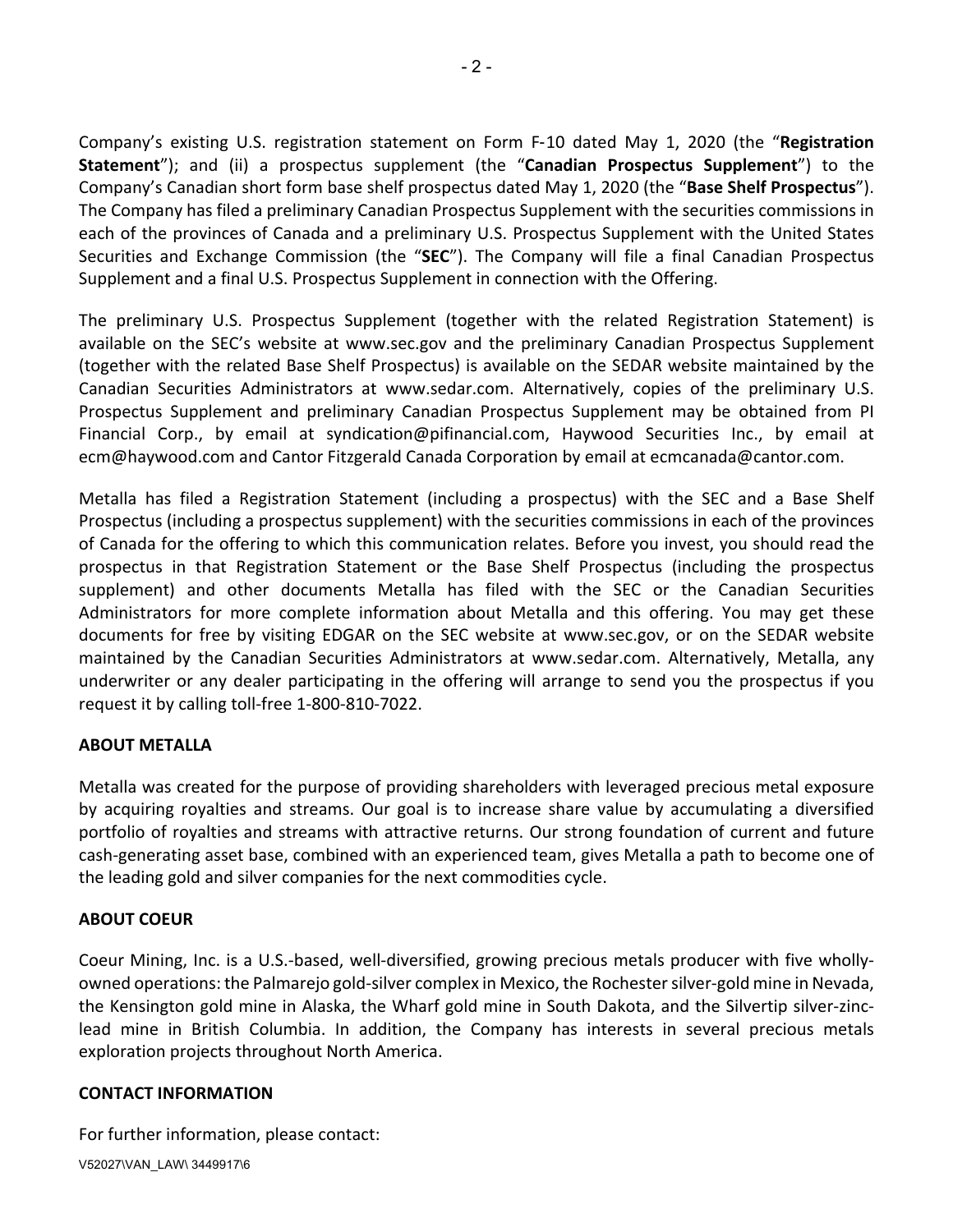Company's existing U.S. registration statement on Form F-10 dated May 1, 2020 (the "**Registration Statement**"); and (ii) a prospectus supplement (the "**Canadian Prospectus Supplement**") to the Company's Canadian short form base shelf prospectus dated May 1, 2020 (the "**Base Shelf Prospectus**"). The Company has filed a preliminary Canadian Prospectus Supplement with the securities commissions in each of the provinces of Canada and a preliminary U.S. Prospectus Supplement with the United States Securities and Exchange Commission (the "**SEC**"). The Company will file a final Canadian Prospectus Supplement and a final U.S. Prospectus Supplement in connection with the Offering.

The preliminary U.S. Prospectus Supplement (together with the related Registration Statement) is available on the SEC's website at www.sec.gov and the preliminary Canadian Prospectus Supplement (together with the related Base Shelf Prospectus) is available on the SEDAR website maintained by the Canadian Securities Administrators at www.sedar.com. Alternatively, copies of the preliminary U.S. Prospectus Supplement and preliminary Canadian Prospectus Supplement may be obtained from PI Financial Corp., by email at syndication@pifinancial.com, Haywood Securities Inc., by email at ecm@haywood.com and Cantor Fitzgerald Canada Corporation by email at ecmcanada@cantor.com.

Metalla has filed a Registration Statement (including a prospectus) with the SEC and a Base Shelf Prospectus (including a prospectus supplement) with the securities commissions in each of the provinces of Canada for the offering to which this communication relates. Before you invest, you should read the prospectus in that Registration Statement or the Base Shelf Prospectus (including the prospectus supplement) and other documents Metalla has filed with the SEC or the Canadian Securities Administrators for more complete information about Metalla and this offering. You may get these documents for free by visiting EDGAR on the SEC website at www.sec.gov, or on the SEDAR website maintained by the Canadian Securities Administrators at www.sedar.com. Alternatively, Metalla, any underwriter or any dealer participating in the offering will arrange to send you the prospectus if you request it by calling toll-free 1-800-810-7022.

## **ABOUT METALLA**

Metalla was created for the purpose of providing shareholders with leveraged precious metal exposure by acquiring royalties and streams. Our goal is to increase share value by accumulating a diversified portfolio of royalties and streams with attractive returns. Our strong foundation of current and future cash-generating asset base, combined with an experienced team, gives Metalla a path to become one of the leading gold and silver companies for the next commodities cycle.

### **ABOUT COEUR**

Coeur Mining, Inc. is a U.S.-based, well-diversified, growing precious metals producer with five whollyowned operations: the Palmarejo gold-silver complex in Mexico, the Rochester silver-gold mine in Nevada, the Kensington gold mine in Alaska, the Wharf gold mine in South Dakota, and the Silvertip silver-zinclead mine in British Columbia. In addition, the Company has interests in several precious metals exploration projects throughout North America.

### **CONTACT INFORMATION**

For further information, please contact: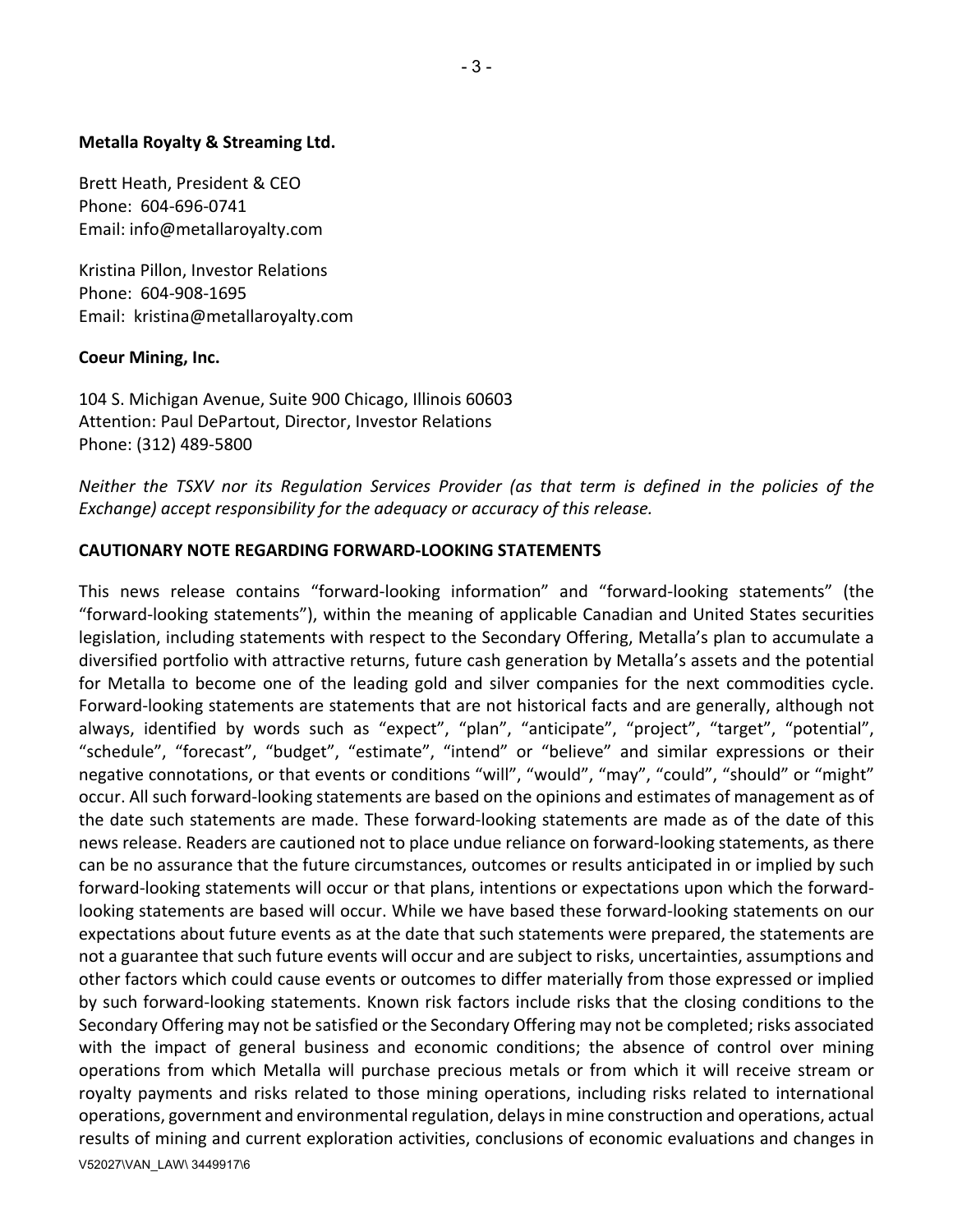#### **Metalla Royalty & Streaming Ltd.**

Brett Heath, President & CEO Phone: 604-696-0741 Email: info@metallaroyalty.com

Kristina Pillon, Investor Relations Phone: 604-908-1695 Email: kristina@metallaroyalty.com

### **Coeur Mining, Inc.**

104 S. Michigan Avenue, Suite 900 Chicago, Illinois 60603 Attention: Paul DePartout, Director, Investor Relations Phone: (312) 489-5800

*Neither the TSXV nor its Regulation Services Provider (as that term is defined in the policies of the Exchange) accept responsibility for the adequacy or accuracy of this release.* 

### **CAUTIONARY NOTE REGARDING FORWARD-LOOKING STATEMENTS**

V52027\VAN\_LAW\ 3449917\6 This news release contains "forward-looking information" and "forward-looking statements" (the "forward-looking statements"), within the meaning of applicable Canadian and United States securities legislation, including statements with respect to the Secondary Offering, Metalla's plan to accumulate a diversified portfolio with attractive returns, future cash generation by Metalla's assets and the potential for Metalla to become one of the leading gold and silver companies for the next commodities cycle. Forward-looking statements are statements that are not historical facts and are generally, although not always, identified by words such as "expect", "plan", "anticipate", "project", "target", "potential", "schedule", "forecast", "budget", "estimate", "intend" or "believe" and similar expressions or their negative connotations, or that events or conditions "will", "would", "may", "could", "should" or "might" occur. All such forward-looking statements are based on the opinions and estimates of management as of the date such statements are made. These forward-looking statements are made as of the date of this news release. Readers are cautioned not to place undue reliance on forward-looking statements, as there can be no assurance that the future circumstances, outcomes or results anticipated in or implied by such forward-looking statements will occur or that plans, intentions or expectations upon which the forwardlooking statements are based will occur. While we have based these forward-looking statements on our expectations about future events as at the date that such statements were prepared, the statements are not a guarantee that such future events will occur and are subject to risks, uncertainties, assumptions and other factors which could cause events or outcomes to differ materially from those expressed or implied by such forward-looking statements. Known risk factors include risks that the closing conditions to the Secondary Offering may not be satisfied or the Secondary Offering may not be completed; risks associated with the impact of general business and economic conditions; the absence of control over mining operations from which Metalla will purchase precious metals or from which it will receive stream or royalty payments and risks related to those mining operations, including risks related to international operations, government and environmental regulation, delays in mine construction and operations, actual results of mining and current exploration activities, conclusions of economic evaluations and changes in